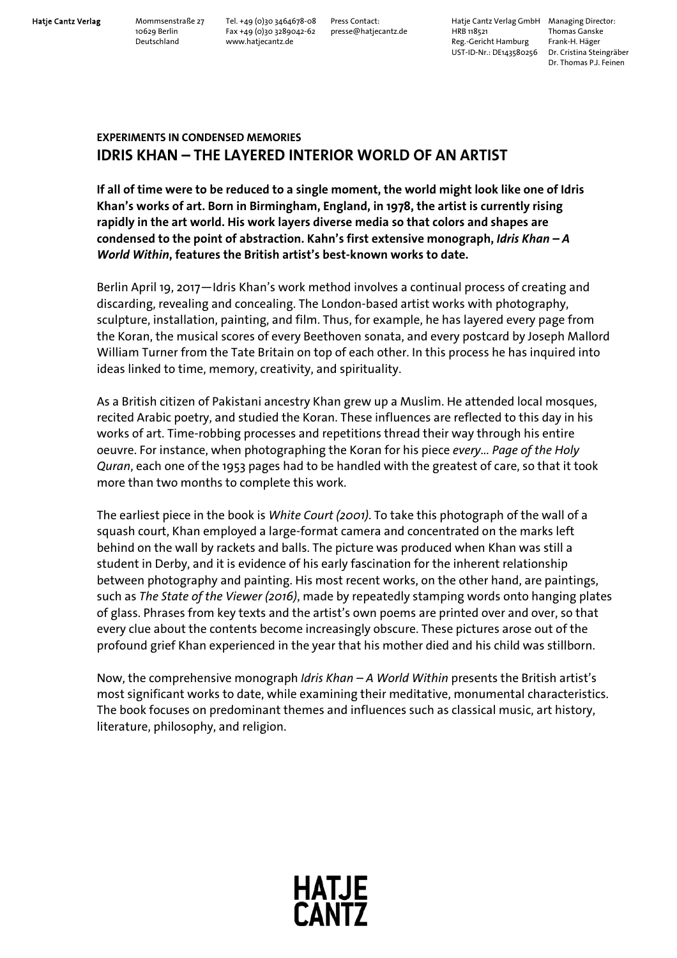Hatje Cantz Verlag Mommsenstraße 27 Tel. +49 (0)30 3464678-08 Press Contact: Hatje Cantz Verlag GmbH Managing Director:<br>10629 Berlin Fax +49 (0)30 3289042-62 presse@hatjecantz.de HRB 118521 Thomas Ganske 10629 Berlin Fax +49 (0)30 3289042-62 presse@hatjecantz.de HRB 118521 Thomas Ganske Deutschland www.hatjecantz.de Reg.-Gericht Hamburg Frank-H. Häger UST-ID-Nr.: DE143580256 Dr. Cristina Steingräber

Dr. Thomas P.J. Feinen

## **EXPERIMENTS IN CONDENSED MEMORIES IDRIS KHAN – THE LAYERED INTERIOR WORLD OF AN ARTIST**

**If all of time were to be reduced to a single moment, the world might look like one of Idris Khan's works of art. Born in Birmingham, England, in 1978, the artist is currently rising rapidly in the art world. His work layers diverse media so that colors and shapes are condensed to the point of abstraction. Kahn's first extensive monograph,** *Idris Khan – A World Within***, features the British artist's best-known works to date.** 

Berlin April 19, 2017―Idris Khan's work method involves a continual process of creating and discarding, revealing and concealing. The London-based artist works with photography, sculpture, installation, painting, and film. Thus, for example, he has layered every page from the Koran, the musical scores of every Beethoven sonata, and every postcard by Joseph Mallord William Turner from the Tate Britain on top of each other. In this process he has inquired into ideas linked to time, memory, creativity, and spirituality.

As a British citizen of Pakistani ancestry Khan grew up a Muslim. He attended local mosques, recited Arabic poetry, and studied the Koran. These influences are reflected to this day in his works of art. Time-robbing processes and repetitions thread their way through his entire oeuvre. For instance, when photographing the Koran for his piece *every... Page of the Holy Quran*, each one of the 1953 pages had to be handled with the greatest of care, so that it took more than two months to complete this work.

The earliest piece in the book is *White Court (2001)*. To take this photograph of the wall of a squash court, Khan employed a large-format camera and concentrated on the marks left behind on the wall by rackets and balls. The picture was produced when Khan was still a student in Derby, and it is evidence of his early fascination for the inherent relationship between photography and painting. His most recent works, on the other hand, are paintings, such as *The State of the Viewer (2016)*, made by repeatedly stamping words onto hanging plates of glass. Phrases from key texts and the artist's own poems are printed over and over, so that every clue about the contents become increasingly obscure. These pictures arose out of the profound grief Khan experienced in the year that his mother died and his child was stillborn.

Now, the comprehensive monograph *Idris Khan – A World Within* presents the British artist's most significant works to date, while examining their meditative, monumental characteristics. The book focuses on predominant themes and influences such as classical music, art history, literature, philosophy, and religion.

**HATJE<br>CANTZ**